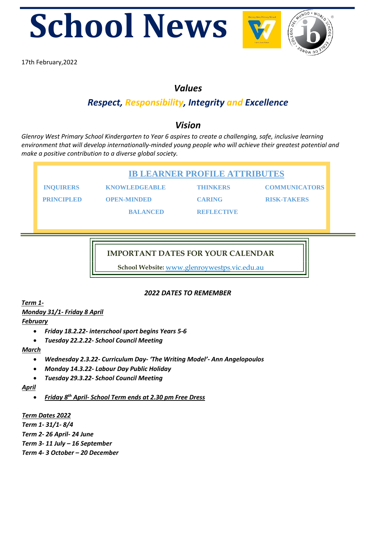





17th February,2022

## *Values*

# *Respect, Responsibility, Integrity and Excellence*

## *Vision*

*Glenroy West Primary School Kindergarten to Year 6 aspires to create a challenging, safe, inclusive learning environment that will develop internationally-minded young people who will achieve their greatest potential and make a positive contribution to a diverse global society.* 

**IB LEARNER PROFILE ATTRIBUTES** 

 **INQUIRERS KNOWLEDGEABLE THINKERS COMMUNICATORS** 

**PRINCIPLED OPEN-MINDED CARING RISK-TAKERS** 

## **IMPORTANT DATES FOR YOUR CALENDAR**

**School Website:** www.glenroywestps.vic.edu.au

**BALANCED REFLECTIVE** 

## *2022 DATES TO REMEMBER*

*Term 1-*

*Monday 31/1- Friday 8 April*

*February*

- *Friday 18.2.22- interschool sport begins Years 5-6*
- *Tuesday 22.2.22- School Council Meeting*

#### *March*

- *Wednesday 2.3.22- Curriculum Day- 'The Writing Model'- Ann Angelopoulos*
- *Monday 14.3.22- Labour Day Public Holiday*
- *Tuesday 29.3.22- School Council Meeting*

*April*

• *Friday 8th April- School Term ends at 2.30 pm Free Dress*

#### *Term Dates 2022*

*Term 1- 31/1- 8/4 Term 2- 26 April- 24 June Term 3- 11 July – 16 September Term 4- 3 October – 20 December*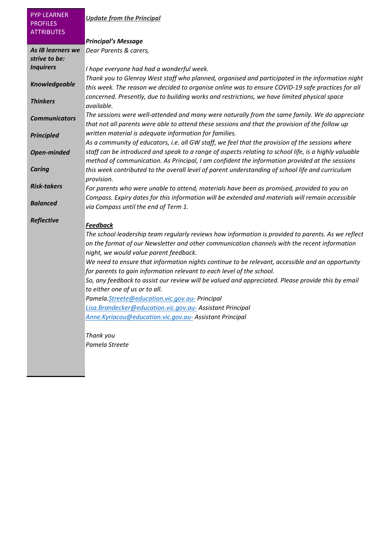| <b>PYP LEARNER</b><br><b>PROFILES</b><br><b>ATTRIBUTES</b> | <b>Update from the Principal</b>                                                                                                                                                                                                             |
|------------------------------------------------------------|----------------------------------------------------------------------------------------------------------------------------------------------------------------------------------------------------------------------------------------------|
|                                                            | <b>Principal's Message</b>                                                                                                                                                                                                                   |
| As IB learners we<br>strive to be:                         | Dear Parents & carers,                                                                                                                                                                                                                       |
| <b>Inquirers</b>                                           | I hope everyone had had a wonderful week.                                                                                                                                                                                                    |
| <b>Knowledgeable</b>                                       | Thank you to Glenroy West staff who planned, organised and participated in the information night<br>this week. The reason we decided to organise online was to ensure COVID-19 safe practices for all                                        |
| <b>Thinkers</b>                                            | concerned. Presently, due to building works and restrictions, we have limited physical space<br>available.                                                                                                                                   |
| <b>Communicators</b>                                       | The sessions were well-attended and many were naturally from the same family. We do appreciate<br>that not all parents were able to attend these sessions and that the provision of the follow up                                            |
| <b>Principled</b>                                          | written material is adequate information for families.<br>As a community of educators, i.e. all GW staff, we feel that the provision of the sessions where                                                                                   |
| <b>Open-minded</b>                                         | staff can be introduced and speak to a range of aspects relating to school life, is a highly valuable<br>method of communication. As Principal, I am confident the information provided at the sessions                                      |
| <b>Caring</b>                                              | this week contributed to the overall level of parent understanding of school life and curriculum<br>provision.                                                                                                                               |
| <b>Risk-takers</b>                                         | For parents who were unable to attend, materials have been as promised, provided to you on                                                                                                                                                   |
| <b>Balanced</b>                                            | Compass. Expiry dates for this information will be extended and materials will remain accessible<br>via Compass until the end of Term 1.                                                                                                     |
| Reflective                                                 | <b>Feedback</b>                                                                                                                                                                                                                              |
|                                                            | The school leadership team regularly reviews how information is provided to parents. As we reflect<br>on the format of our Newsletter and other communication channels with the recent information<br>night, we would value parent feedback. |
|                                                            | We need to ensure that information nights continue to be relevant, accessible and an opportunity<br>for parents to gain information relevant to each level of the school.                                                                    |
|                                                            | So, any feedback to assist our review will be valued and appreciated. Please provide this by email<br>to either one of us or to all.                                                                                                         |
|                                                            | Pamela.Streete@education.vic.gov.au-Principal                                                                                                                                                                                                |
|                                                            | Lisa.Brandecker@education.vic.gov.au-Assistant Principal                                                                                                                                                                                     |
|                                                            | Anne.Kyriacou@education.vic.gov.au-Assistant Principal                                                                                                                                                                                       |
|                                                            | Thank you                                                                                                                                                                                                                                    |
|                                                            | Pamela Streete                                                                                                                                                                                                                               |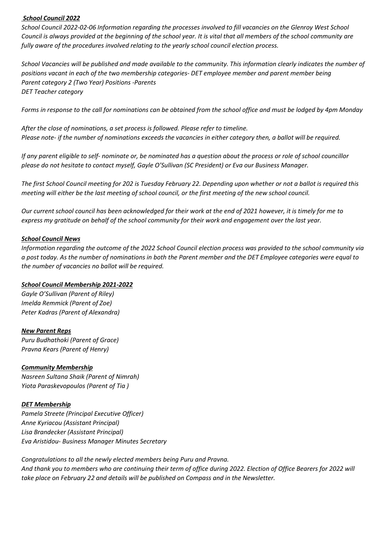#### *School Council 2022*

*School Council 2022-02-06 Information regarding the processes involved to fill vacancies on the Glenroy West School Council is always provided at the beginning of the school year. It is vital that all members of the school community are fully aware of the procedures involved relating to the yearly school council election process.*

*School Vacancies will be published and made available to the community. This information clearly indicates the number of positions vacant in each of the two membership categories- DET employee member and parent member being Parent category 2 (Two Year) Positions -Parents DET Teacher category*

*Forms in response to the call for nominations can be obtained from the school office and must be lodged by 4pm Monday* 

*After the close of nominations, a set process is followed. Please refer to timeline. Please note- if the number of nominations exceeds the vacancies in either category then, a ballot will be required.*

*If any parent eligible to self- nominate or, be nominated has a question about the process or role of school councillor please do not hesitate to contact myself, Gayle O'Sullivan (SC President) or Eva our Business Manager.*

*The first School Council meeting for 202 is Tuesday February 22. Depending upon whether or not a ballot is required this meeting will either be the last meeting of school council, or the first meeting of the new school council.*

*Our current school council has been acknowledged for their work at the end of 2021 however, it is timely for me to express my gratitude on behalf of the school community for their work and engagement over the last year.*

#### *School Council News*

*Information regarding the outcome of the 2022 School Council election process was provided to the school community via a post today. As the number of nominations in both the Parent member and the DET Employee categories were equal to the number of vacancies no ballot will be required.*

#### *School Council Membership 2021-2022*

*Gayle O'Sullivan (Parent of Riley) Imelda Remmick (Parent of Zoe) Peter Kadras (Parent of Alexandra)*

#### *New Parent Reps*

*Puru Budhathoki (Parent of Grace) Pravna Kears (Parent of Henry)*

#### *Community Membership*

*Nasreen Sultana Shaik (Parent of Nimrah) Yiota Paraskevopoulos (Parent of Tia )*

#### *DET Membership*

*Pamela Streete (Principal Executive Officer) Anne Kyriacou (Assistant Principal) Lisa Brandecker (Assistant Principal) Eva Aristidou- Business Manager Minutes Secretary*

*Congratulations to all the newly elected members being Puru and Pravna. And thank you to members who are continuing their term of office during 2022. Election of Office Bearers for 2022 will take place on February 22 and details will be published on Compass and in the Newsletter.*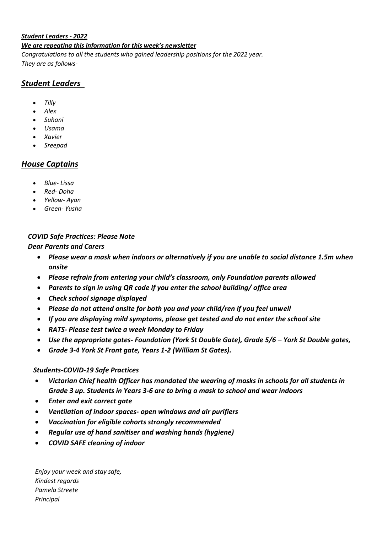#### *Student Leaders - 2022*

#### *We are repeating this information for this week's newsletter*

*Congratulations to all the students who gained leadership positions for the 2022 year. They are as follows-*

## *Student Leaders*

- *Tilly*
- *Alex*
- *Suhani*
- *Usama*
- *Xavier*
- *Sreepad*

### *House Captains*

- *Blue- Lissa*
- *Red- Doha*
- *Yellow- Ayan*
- *Green- Yusha*

#### *COVID Safe Practices: Please Note*

#### *Dear Parents and Carers*

- *Please wear a mask when indoors or alternatively if you are unable to social distance 1.5m when onsite*
- *Please refrain from entering your child's classroom, only Foundation parents allowed*
- *Parents to sign in using QR code if you enter the school building/ office area*
- *Check school signage displayed*
- *Please do not attend onsite for both you and your child/ren if you feel unwell*
- *If you are displaying mild symptoms, please get tested and do not enter the school site*
- *RATS- Please test twice a week Monday to Friday*
- *Use the appropriate gates- Foundation (York St Double Gate), Grade 5/6 – York St Double gates,*
- *Grade 3-4 York St Front gate, Years 1-2 (William St Gates).*

#### *Students-COVID-19 Safe Practices*

- *Victorian Chief health Officer has mandated the wearing of masks in schools for all students in Grade 3 up. Students in Years 3-6 are to bring a mask to school and wear indoors*
- *Enter and exit correct gate*
- *Ventilation of indoor spaces- open windows and air purifiers*
- *Vaccination for eligible cohorts strongly recommended*
- *Regular use of hand sanitiser and washing hands (hygiene)*
- *COVID SAFE cleaning of indoor*

*Enjoy your week and stay safe, Kindest regards Pamela Streete Principal*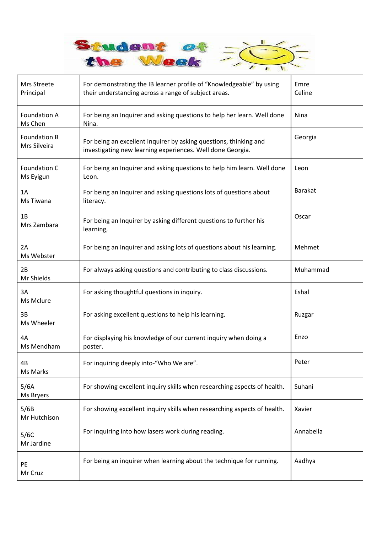

| Mrs Streete<br>Principal       | For demonstrating the IB learner profile of "Knowledgeable" by using<br>their understanding across a range of subject areas.    | Emre<br>Celine |
|--------------------------------|---------------------------------------------------------------------------------------------------------------------------------|----------------|
| <b>Foundation A</b><br>Ms Chen | For being an Inquirer and asking questions to help her learn. Well done<br>Nina.                                                | Nina           |
| Foundation B<br>Mrs Silveira   | For being an excellent Inquirer by asking questions, thinking and<br>investigating new learning experiences. Well done Georgia. | Georgia        |
| Foundation C<br>Ms Eyigun      | For being an Inquirer and asking questions to help him learn. Well done<br>Leon.                                                | Leon           |
| 1A<br>Ms Tiwana                | For being an Inquirer and asking questions lots of questions about<br>literacy.                                                 | <b>Barakat</b> |
| 1B<br>Mrs Zambara              | For being an Inquirer by asking different questions to further his<br>learning,                                                 | Oscar          |
| 2A<br>Ms Webster               | For being an Inquirer and asking lots of questions about his learning.                                                          | Mehmet         |
| 2B<br>Mr Shields               | For always asking questions and contributing to class discussions.                                                              | Muhammad       |
| 3A<br>Ms Mclure                | For asking thoughtful questions in inquiry.                                                                                     | Eshal          |
| 3B<br>Ms Wheeler               | For asking excellent questions to help his learning.                                                                            | Ruzgar         |
| 4A<br>Ms Mendham               | For displaying his knowledge of our current inquiry when doing a<br>poster.                                                     | Enzo           |
| 4B<br>Ms Marks                 | For inquiring deeply into-"Who We are".                                                                                         | Peter          |
| 5/6A<br>Ms Bryers              | For showing excellent inquiry skills when researching aspects of health.                                                        | Suhani         |
| 5/6B<br>Mr Hutchison           | For showing excellent inquiry skills when researching aspects of health.                                                        | Xavier         |
| 5/6C<br>Mr Jardine             | For inquiring into how lasers work during reading.                                                                              | Annabella      |
| PE<br>Mr Cruz                  | For being an inquirer when learning about the technique for running.                                                            | Aadhya         |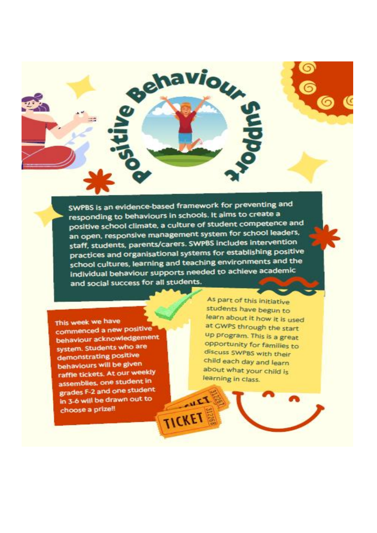SWPBS is an evidence-based framework for preventing and responding to behaviours in schools. It aims to create a positive school climate, a culture of student competence and an open, responsive management system for school leaders, staff, students, parents/carers. SWPBS includes intervention practices and organisational systems for establishing positive school cultures, learning and teaching environments and the Individual behaviour supports needed to achieve academic and social success for all students.

**AULT** 

TICKET

ehaviou

This week we have commenced a new positive behaviour acknowledgement system. Students who are demonstrating positive behaviours will be given raffie tickets. At our weekly assemblies, one student in grades F-2 and one student in 3-6 will be drawn out to choose a prize!!

As part of this initiative students have begun to learn about it how it is used at GWPS through the start up program. This is a great opportunity for families to discuss SWPBS with their child each day and learn about what your child is learning in class.

ding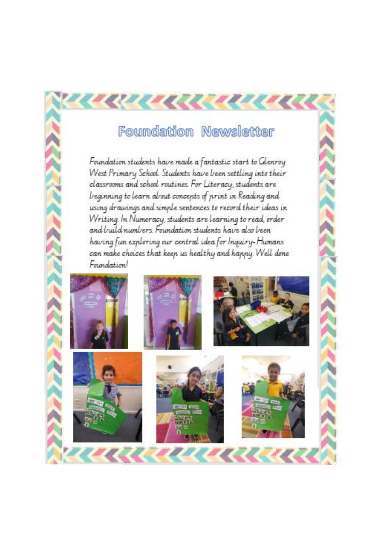# Foundation Newsletter

रायसस्यय

Foundation students have made a fantastic start to Glenroy West Primary School. Students have been settling into their classrooms and school routines. For Literacy, students are beginning to learn about concepts of print in Reading and using drawings and simple sentences to record their ideas in Writing. In Numeracy, students are learning to read, order and build numbers. Foundation students have also been having fun exploring our central idea for Inquiry-Humans can make choices that keep us healthy and happy. Well done Foundation!

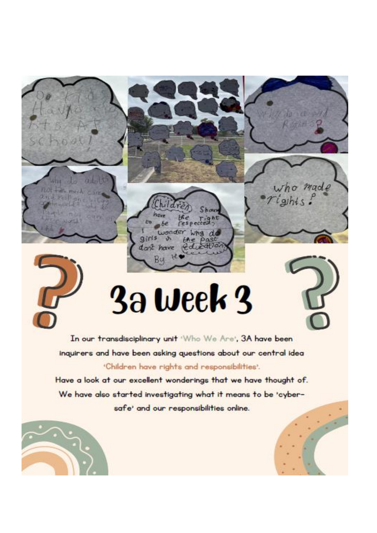3a week 3

Wha

 $\alpha$ 

 $\alpha$ tio

hav òъ

dant have

Bu

ginis

 $be$ wonder

 $\mathcal{S}$ 



**EDUARTA** 

who made

 $rights$ :

In our transdisciplinary unit 'Who We Are', 3A have been inquirers and have been asking questions about our central idea 'Children have rights and responsibilities'.

Have a look at our excellent wonderings that we have thought of. We have also started investigating what it means to be 'cybersafe' and our responsibilities online.



Gan

Иш

En e Pest

not the much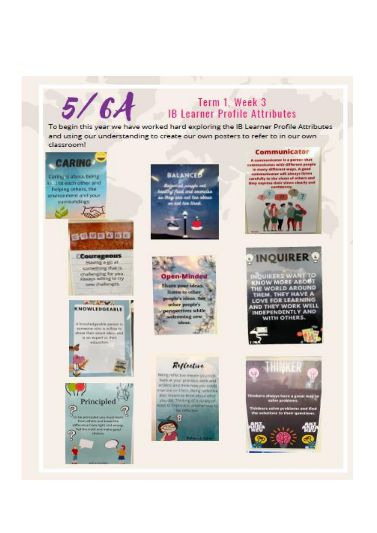# Term 1, Week 3 **IB Learner Profile Attributes**

To begin this year we have worked hard exploring the IB Learner Profile Attributes and using our understanding to create our own posters to refer to in our own classroom!

 $5/6A$